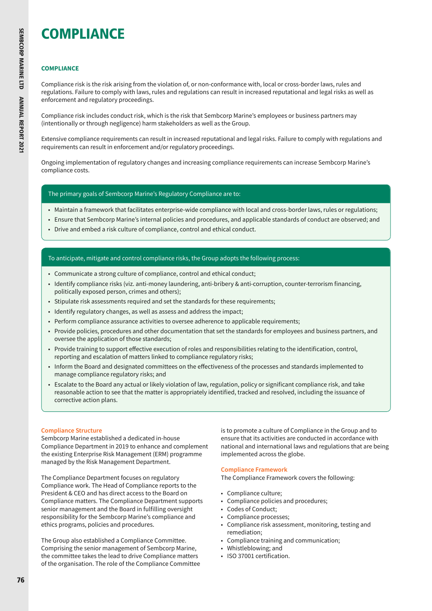# COMPLIANCE

# **COMPLIANCE**

Compliance risk is the risk arising from the violation of, or non-conformance with, local or cross-border laws, rules and regulations. Failure to comply with laws, rules and regulations can result in increased reputational and legal risks as well as enforcement and regulatory proceedings.

Compliance risk includes conduct risk, which is the risk that Sembcorp Marine's employees or business partners may (intentionally or through negligence) harm stakeholders as well as the Group.

Extensive compliance requirements can result in increased reputational and legal risks. Failure to comply with regulations and requirements can result in enforcement and/or regulatory proceedings.

Ongoing implementation of regulatory changes and increasing compliance requirements can increase Sembcorp Marine's compliance costs.

## The primary goals of Sembcorp Marine's Regulatory Compliance are to:

- Maintain a framework that facilitates enterprise-wide compliance with local and cross-border laws, rules or regulations;
- Ensure that Sembcorp Marine's internal policies and procedures, and applicable standards of conduct are observed; and
- Drive and embed a risk culture of compliance, control and ethical conduct.

# To anticipate, mitigate and control compliance risks, the Group adopts the following process:

- Communicate a strong culture of compliance, control and ethical conduct;
- Identify compliance risks (viz. anti-money laundering, anti-bribery & anti-corruption, counter-terrorism financing, politically exposed person, crimes and others);
- Stipulate risk assessments required and set the standards for these requirements;
- Identify regulatory changes, as well as assess and address the impact;
- Perform compliance assurance activities to oversee adherence to applicable requirements;
- Provide policies, procedures and other documentation that set the standards for employees and business partners, and oversee the application of those standards;
- Provide training to support effective execution of roles and responsibilities relating to the identification, control, reporting and escalation of matters linked to compliance regulatory risks;
- Inform the Board and designated committees on the effectiveness of the processes and standards implemented to manage compliance regulatory risks; and
- Escalate to the Board any actual or likely violation of law, regulation, policy or significant compliance risk, and take reasonable action to see that the matter is appropriately identified, tracked and resolved, including the issuance of corrective action plans.

## **Compliance Structure**

Sembcorp Marine established a dedicated in-house Compliance Department in 2019 to enhance and complement the existing Enterprise Risk Management (ERM) programme managed by the Risk Management Department.

The Compliance Department focuses on regulatory Compliance work. The Head of Compliance reports to the President & CEO and has direct access to the Board on Compliance matters. The Compliance Department supports senior management and the Board in fulfilling oversight responsibility for the Sembcorp Marine's compliance and ethics programs, policies and procedures.

The Group also established a Compliance Committee. Comprising the senior management of Sembcorp Marine, the committee takes the lead to drive Compliance matters of the organisation. The role of the Compliance Committee is to promote a culture of Compliance in the Group and to ensure that its activities are conducted in accordance with national and international laws and regulations that are being implemented across the globe.

# **Compliance Framework**

The Compliance Framework covers the following:

- Compliance culture;
- Compliance policies and procedures;
- Codes of Conduct;
- Compliance processes;
- Compliance risk assessment, monitoring, testing and remediation;
- Compliance training and communication;
- Whistleblowing; and
- ISO 37001 certification.